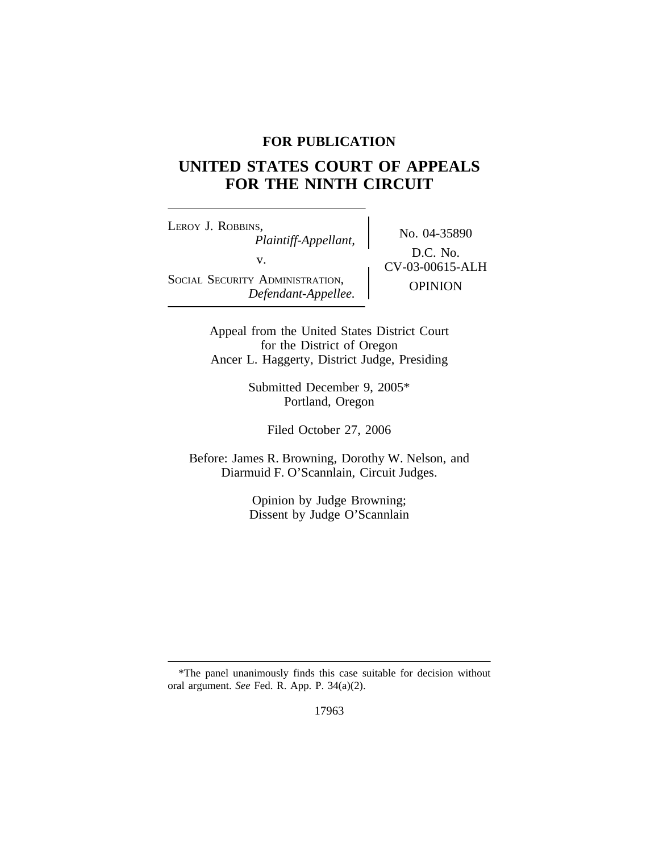# **FOR PUBLICATION**

# **UNITED STATES COURT OF APPEALS FOR THE NINTH CIRCUIT**

<sup>L</sup>EROY J. ROBBINS, No. 04-35890 *Plaintiff-Appellant,* v.  $\qquad \qquad \begin{array}{c} \text{D.C. 140.} \\ \text{CV-03-00615-ALH} \end{array}$ SOCIAL SECURITY ADMINISTRATION, OPINION *Defendant-Appellee.*

D.C. No.

Appeal from the United States District Court for the District of Oregon Ancer L. Haggerty, District Judge, Presiding

> Submitted December 9, 2005\* Portland, Oregon

> > Filed October 27, 2006

Before: James R. Browning, Dorothy W. Nelson, and Diarmuid F. O'Scannlain, Circuit Judges.

> Opinion by Judge Browning; Dissent by Judge O'Scannlain

17963

<sup>\*</sup>The panel unanimously finds this case suitable for decision without oral argument. *See* Fed. R. App. P. 34(a)(2).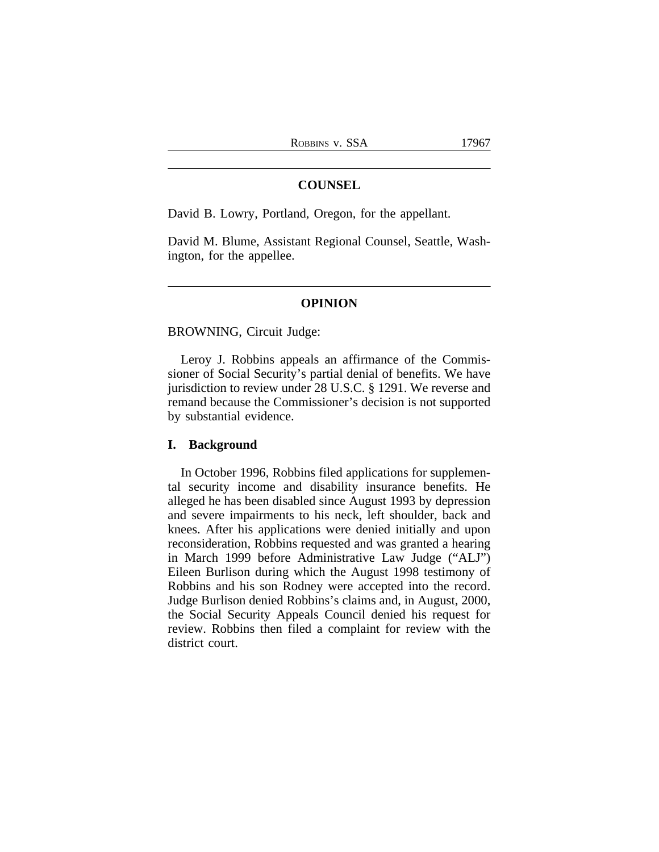## **COUNSEL**

David B. Lowry, Portland, Oregon, for the appellant.

David M. Blume, Assistant Regional Counsel, Seattle, Washington, for the appellee.

#### **OPINION**

BROWNING, Circuit Judge:

Leroy J. Robbins appeals an affirmance of the Commissioner of Social Security's partial denial of benefits. We have jurisdiction to review under 28 U.S.C. § 1291. We reverse and remand because the Commissioner's decision is not supported by substantial evidence.

## **I. Background**

In October 1996, Robbins filed applications for supplemental security income and disability insurance benefits. He alleged he has been disabled since August 1993 by depression and severe impairments to his neck, left shoulder, back and knees. After his applications were denied initially and upon reconsideration, Robbins requested and was granted a hearing in March 1999 before Administrative Law Judge ("ALJ") Eileen Burlison during which the August 1998 testimony of Robbins and his son Rodney were accepted into the record. Judge Burlison denied Robbins's claims and, in August, 2000, the Social Security Appeals Council denied his request for review. Robbins then filed a complaint for review with the district court.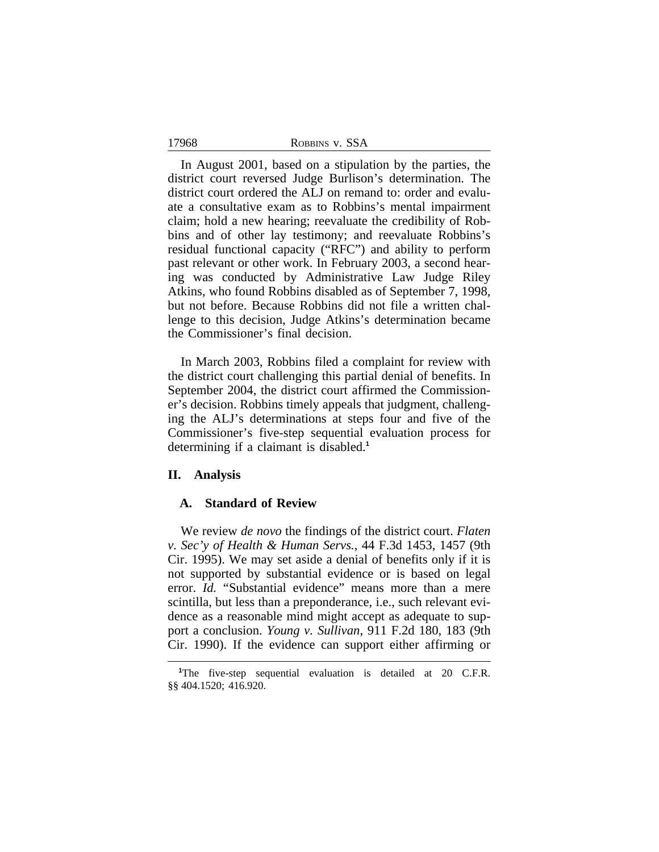| ROBBINS V. SSA |  |
|----------------|--|
|                |  |

In August 2001, based on a stipulation by the parties, the district court reversed Judge Burlison's determination. The district court ordered the ALJ on remand to: order and evaluate a consultative exam as to Robbins's mental impairment claim; hold a new hearing; reevaluate the credibility of Robbins and of other lay testimony; and reevaluate Robbins's residual functional capacity ("RFC") and ability to perform past relevant or other work. In February 2003, a second hearing was conducted by Administrative Law Judge Riley Atkins, who found Robbins disabled as of September 7, 1998, but not before. Because Robbins did not file a written challenge to this decision, Judge Atkins's determination became the Commissioner's final decision.

In March 2003, Robbins filed a complaint for review with the district court challenging this partial denial of benefits. In September 2004, the district court affirmed the Commissioner's decision. Robbins timely appeals that judgment, challenging the ALJ's determinations at steps four and five of the Commissioner's five-step sequential evaluation process for determining if a claimant is disabled.**<sup>1</sup>**

#### **II. Analysis**

# **A. Standard of Review**

We review *de novo* the findings of the district court. *Flaten v. Sec'y of Health & Human Servs.*, 44 F.3d 1453, 1457 (9th Cir. 1995). We may set aside a denial of benefits only if it is not supported by substantial evidence or is based on legal error. *Id.* "Substantial evidence" means more than a mere scintilla, but less than a preponderance, i.e., such relevant evidence as a reasonable mind might accept as adequate to support a conclusion. *Young v. Sullivan*, 911 F.2d 180, 183 (9th Cir. 1990). If the evidence can support either affirming or

17968

<sup>&</sup>lt;sup>1</sup>The five-step sequential evaluation is detailed at 20 C.F.R. §§ 404.1520; 416.920.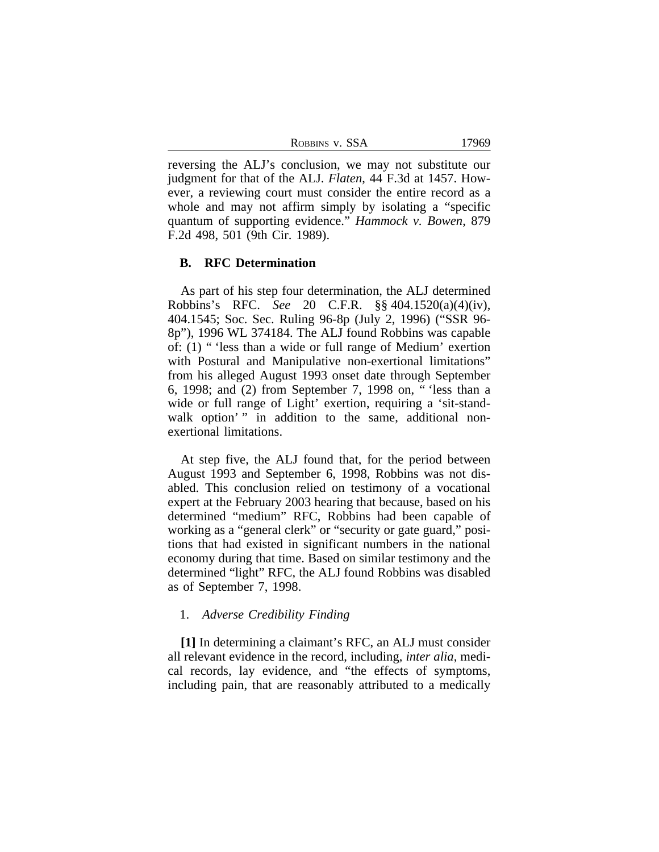ROBBINS V. SSA 17969

reversing the ALJ's conclusion, we may not substitute our judgment for that of the ALJ. *Flaten*, 44 F.3d at 1457. However, a reviewing court must consider the entire record as a whole and may not affirm simply by isolating a "specific quantum of supporting evidence." *Hammock v. Bowen*, 879 F.2d 498, 501 (9th Cir. 1989).

#### **B. RFC Determination**

As part of his step four determination, the ALJ determined Robbins's RFC. *See* 20 C.F.R. §§ 404.1520(a)(4)(iv), 404.1545; Soc. Sec. Ruling 96-8p (July 2, 1996) ("SSR 96- 8p"), 1996 WL 374184. The ALJ found Robbins was capable of: (1) " 'less than a wide or full range of Medium' exertion with Postural and Manipulative non-exertional limitations" from his alleged August 1993 onset date through September 6, 1998; and (2) from September 7, 1998 on, " 'less than a wide or full range of Light' exertion, requiring a 'sit-standwalk option'" in addition to the same, additional nonexertional limitations.

At step five, the ALJ found that, for the period between August 1993 and September 6, 1998, Robbins was not disabled. This conclusion relied on testimony of a vocational expert at the February 2003 hearing that because, based on his determined "medium" RFC, Robbins had been capable of working as a "general clerk" or "security or gate guard," positions that had existed in significant numbers in the national economy during that time. Based on similar testimony and the determined "light" RFC, the ALJ found Robbins was disabled as of September 7, 1998.

## 1. *Adverse Credibility Finding*

**[1]** In determining a claimant's RFC, an ALJ must consider all relevant evidence in the record, including, *inter alia*, medical records, lay evidence, and "the effects of symptoms, including pain, that are reasonably attributed to a medically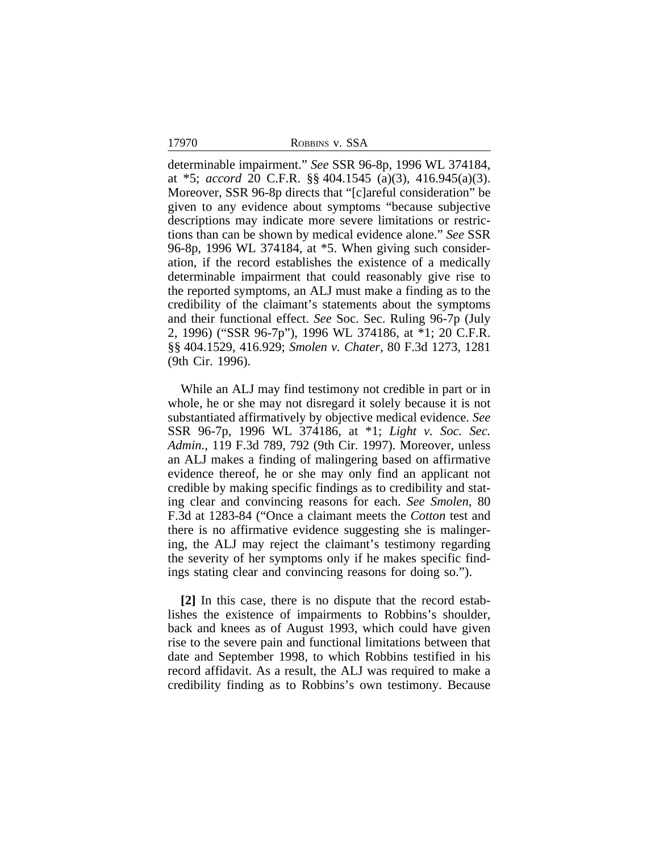17970 ROBBINS v. SSA

determinable impairment." *See* SSR 96-8p, 1996 WL 374184, at \*5; *accord* 20 C.F.R. §§ 404.1545 (a)(3), 416.945(a)(3). Moreover, SSR 96-8p directs that "[c]areful consideration" be given to any evidence about symptoms "because subjective descriptions may indicate more severe limitations or restrictions than can be shown by medical evidence alone." *See* SSR 96-8p, 1996 WL 374184, at \*5. When giving such consideration, if the record establishes the existence of a medically determinable impairment that could reasonably give rise to the reported symptoms, an ALJ must make a finding as to the credibility of the claimant's statements about the symptoms and their functional effect. *See* Soc. Sec. Ruling 96-7p (July 2, 1996) ("SSR 96-7p"), 1996 WL 374186, at \*1; 20 C.F.R. §§ 404.1529, 416.929; *Smolen v. Chater*, 80 F.3d 1273, 1281 (9th Cir. 1996).

While an ALJ may find testimony not credible in part or in whole, he or she may not disregard it solely because it is not substantiated affirmatively by objective medical evidence. *See* SSR 96-7p, 1996 WL 374186, at \*1; *Light v. Soc. Sec. Admin.*, 119 F.3d 789, 792 (9th Cir. 1997). Moreover, unless an ALJ makes a finding of malingering based on affirmative evidence thereof, he or she may only find an applicant not credible by making specific findings as to credibility and stating clear and convincing reasons for each. *See Smolen*, 80 F.3d at 1283-84 ("Once a claimant meets the *Cotton* test and there is no affirmative evidence suggesting she is malingering, the ALJ may reject the claimant's testimony regarding the severity of her symptoms only if he makes specific findings stating clear and convincing reasons for doing so.").

**[2]** In this case, there is no dispute that the record establishes the existence of impairments to Robbins's shoulder, back and knees as of August 1993, which could have given rise to the severe pain and functional limitations between that date and September 1998, to which Robbins testified in his record affidavit. As a result, the ALJ was required to make a credibility finding as to Robbins's own testimony. Because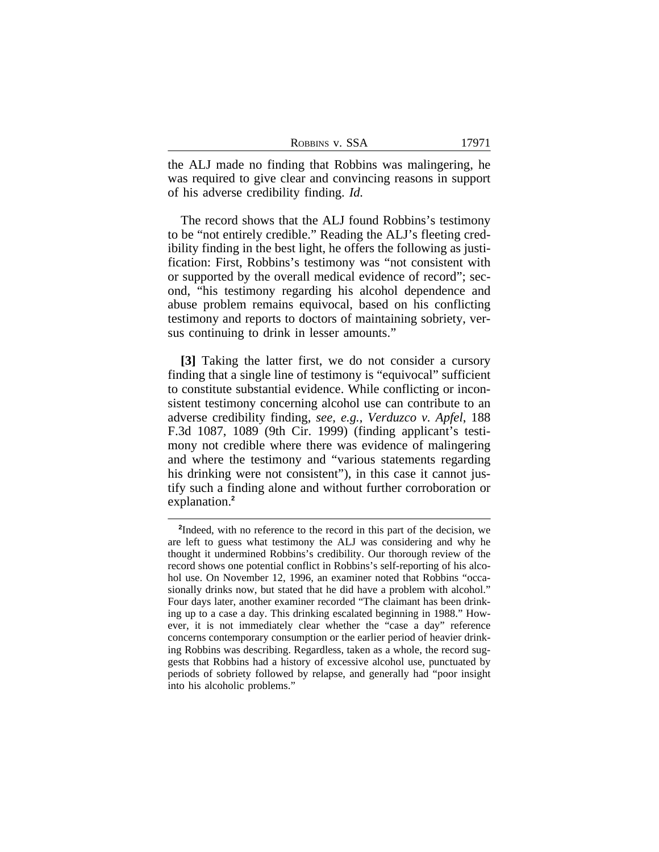| ROBBINS V. SSA | 17971 |
|----------------|-------|
|----------------|-------|

the ALJ made no finding that Robbins was malingering, he was required to give clear and convincing reasons in support of his adverse credibility finding. *Id.*

The record shows that the ALJ found Robbins's testimony to be "not entirely credible." Reading the ALJ's fleeting credibility finding in the best light, he offers the following as justification: First, Robbins's testimony was "not consistent with or supported by the overall medical evidence of record"; second, "his testimony regarding his alcohol dependence and abuse problem remains equivocal, based on his conflicting testimony and reports to doctors of maintaining sobriety, versus continuing to drink in lesser amounts."

**[3]** Taking the latter first, we do not consider a cursory finding that a single line of testimony is "equivocal" sufficient to constitute substantial evidence. While conflicting or inconsistent testimony concerning alcohol use can contribute to an adverse credibility finding, *see, e.g.*, *Verduzco v. Apfel*, 188 F.3d 1087, 1089 (9th Cir. 1999) (finding applicant's testimony not credible where there was evidence of malingering and where the testimony and "various statements regarding his drinking were not consistent"), in this case it cannot justify such a finding alone and without further corroboration or explanation.**<sup>2</sup>**

<sup>&</sup>lt;sup>2</sup>Indeed, with no reference to the record in this part of the decision, we are left to guess what testimony the ALJ was considering and why he thought it undermined Robbins's credibility. Our thorough review of the record shows one potential conflict in Robbins's self-reporting of his alcohol use. On November 12, 1996, an examiner noted that Robbins "occasionally drinks now, but stated that he did have a problem with alcohol." Four days later, another examiner recorded "The claimant has been drinking up to a case a day. This drinking escalated beginning in 1988." However, it is not immediately clear whether the "case a day" reference concerns contemporary consumption or the earlier period of heavier drinking Robbins was describing. Regardless, taken as a whole, the record suggests that Robbins had a history of excessive alcohol use, punctuated by periods of sobriety followed by relapse, and generally had "poor insight into his alcoholic problems."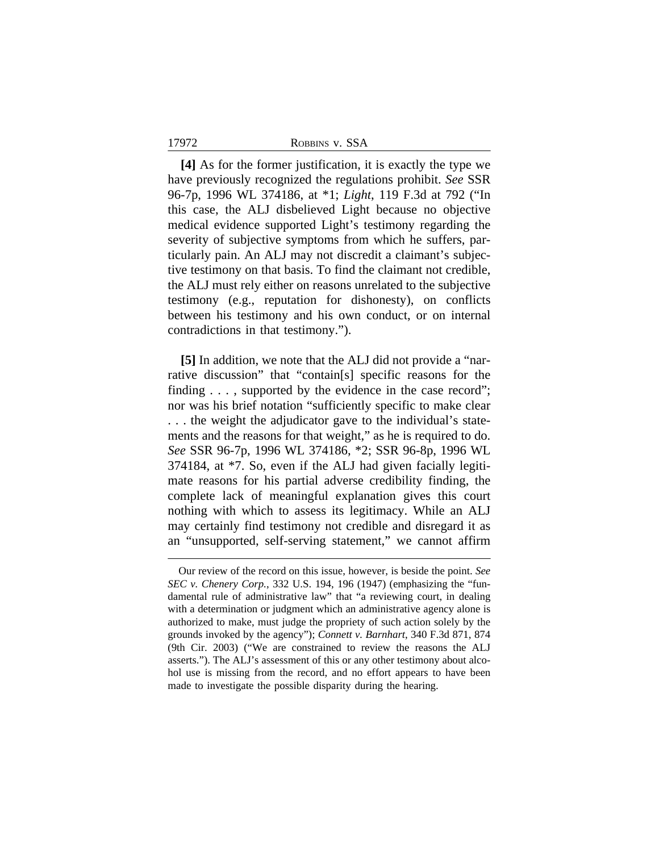17972 ROBBINS v. SSA

**[4]** As for the former justification, it is exactly the type we have previously recognized the regulations prohibit. *See* SSR 96-7p, 1996 WL 374186, at \*1; *Light*, 119 F.3d at 792 ("In this case, the ALJ disbelieved Light because no objective medical evidence supported Light's testimony regarding the severity of subjective symptoms from which he suffers, particularly pain. An ALJ may not discredit a claimant's subjective testimony on that basis. To find the claimant not credible, the ALJ must rely either on reasons unrelated to the subjective testimony (e.g., reputation for dishonesty), on conflicts between his testimony and his own conduct, or on internal contradictions in that testimony.").

**[5]** In addition, we note that the ALJ did not provide a "narrative discussion" that "contain[s] specific reasons for the finding . . . , supported by the evidence in the case record"; nor was his brief notation "sufficiently specific to make clear . . . the weight the adjudicator gave to the individual's statements and the reasons for that weight," as he is required to do. *See* SSR 96-7p, 1996 WL 374186, \*2; SSR 96-8p, 1996 WL 374184, at \*7. So, even if the ALJ had given facially legitimate reasons for his partial adverse credibility finding, the complete lack of meaningful explanation gives this court nothing with which to assess its legitimacy. While an ALJ may certainly find testimony not credible and disregard it as an "unsupported, self-serving statement," we cannot affirm

Our review of the record on this issue, however, is beside the point. *See SEC v. Chenery Corp.*, 332 U.S. 194, 196 (1947) (emphasizing the "fundamental rule of administrative law" that "a reviewing court, in dealing with a determination or judgment which an administrative agency alone is authorized to make, must judge the propriety of such action solely by the grounds invoked by the agency"); *Connett v. Barnhart*, 340 F.3d 871, 874 (9th Cir. 2003) ("We are constrained to review the reasons the ALJ asserts."). The ALJ's assessment of this or any other testimony about alcohol use is missing from the record, and no effort appears to have been made to investigate the possible disparity during the hearing.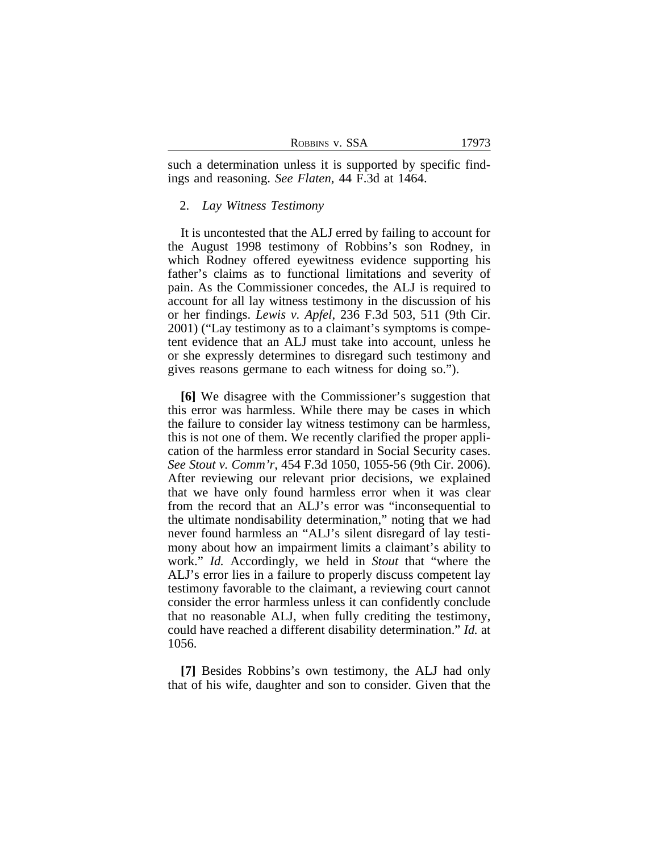| ROBBINS V. SSA |  |  |
|----------------|--|--|
|----------------|--|--|

such a determination unless it is supported by specific findings and reasoning. *See Flaten*, 44 F.3d at 1464.

#### 2. *Lay Witness Testimony*

It is uncontested that the ALJ erred by failing to account for the August 1998 testimony of Robbins's son Rodney, in which Rodney offered eyewitness evidence supporting his father's claims as to functional limitations and severity of pain. As the Commissioner concedes, the ALJ is required to account for all lay witness testimony in the discussion of his or her findings. *Lewis v. Apfel*, 236 F.3d 503, 511 (9th Cir. 2001) ("Lay testimony as to a claimant's symptoms is competent evidence that an ALJ must take into account, unless he or she expressly determines to disregard such testimony and gives reasons germane to each witness for doing so.").

**[6]** We disagree with the Commissioner's suggestion that this error was harmless. While there may be cases in which the failure to consider lay witness testimony can be harmless, this is not one of them. We recently clarified the proper application of the harmless error standard in Social Security cases. *See Stout v. Comm'r*, 454 F.3d 1050, 1055-56 (9th Cir. 2006). After reviewing our relevant prior decisions, we explained that we have only found harmless error when it was clear from the record that an ALJ's error was "inconsequential to the ultimate nondisability determination," noting that we had never found harmless an "ALJ's silent disregard of lay testimony about how an impairment limits a claimant's ability to work." *Id.* Accordingly, we held in *Stout* that "where the ALJ's error lies in a failure to properly discuss competent lay testimony favorable to the claimant, a reviewing court cannot consider the error harmless unless it can confidently conclude that no reasonable ALJ, when fully crediting the testimony, could have reached a different disability determination." *Id.* at 1056.

**[7]** Besides Robbins's own testimony, the ALJ had only that of his wife, daughter and son to consider. Given that the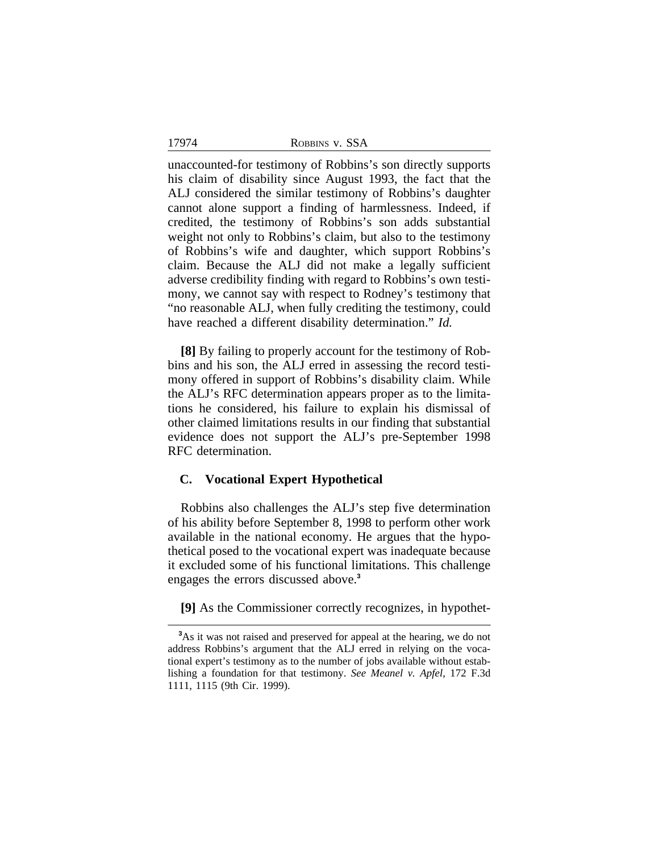17974

unaccounted-for testimony of Robbins's son directly supports his claim of disability since August 1993, the fact that the ALJ considered the similar testimony of Robbins's daughter cannot alone support a finding of harmlessness. Indeed, if credited, the testimony of Robbins's son adds substantial weight not only to Robbins's claim, but also to the testimony of Robbins's wife and daughter, which support Robbins's claim. Because the ALJ did not make a legally sufficient adverse credibility finding with regard to Robbins's own testimony, we cannot say with respect to Rodney's testimony that "no reasonable ALJ, when fully crediting the testimony, could have reached a different disability determination." *Id.*

**[8]** By failing to properly account for the testimony of Robbins and his son, the ALJ erred in assessing the record testimony offered in support of Robbins's disability claim. While the ALJ's RFC determination appears proper as to the limitations he considered, his failure to explain his dismissal of other claimed limitations results in our finding that substantial evidence does not support the ALJ's pre-September 1998 RFC determination.

#### **C. Vocational Expert Hypothetical**

Robbins also challenges the ALJ's step five determination of his ability before September 8, 1998 to perform other work available in the national economy. He argues that the hypothetical posed to the vocational expert was inadequate because it excluded some of his functional limitations. This challenge engages the errors discussed above.**<sup>3</sup>**

**[9]** As the Commissioner correctly recognizes, in hypothet-

**<sup>3</sup>**As it was not raised and preserved for appeal at the hearing, we do not address Robbins's argument that the ALJ erred in relying on the vocational expert's testimony as to the number of jobs available without establishing a foundation for that testimony. *See Meanel v. Apfel*, 172 F.3d 1111, 1115 (9th Cir. 1999).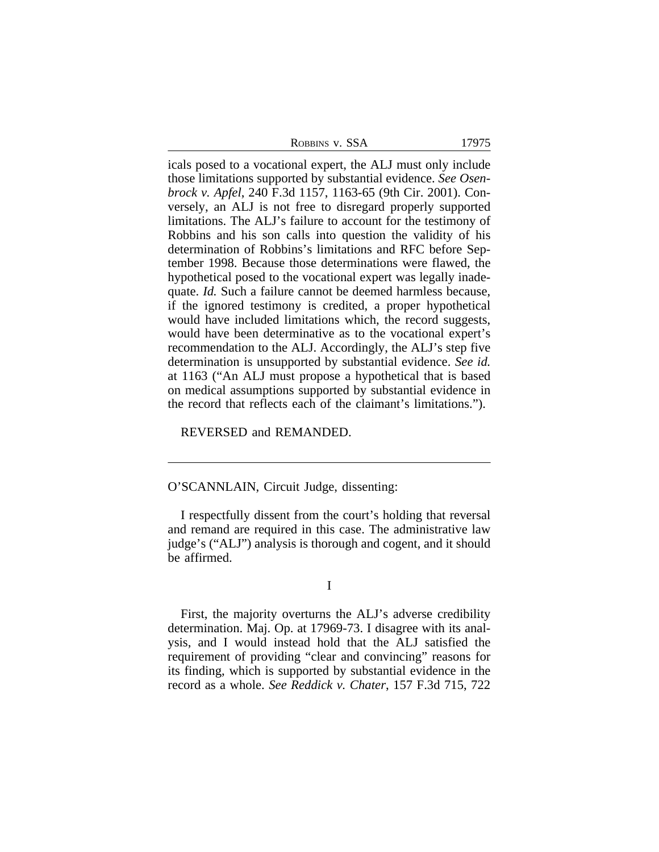| ROBBINS V. SSA | 17975 |
|----------------|-------|
|----------------|-------|

icals posed to a vocational expert, the ALJ must only include those limitations supported by substantial evidence. *See Osenbrock v. Apfel*, 240 F.3d 1157, 1163-65 (9th Cir. 2001). Conversely, an ALJ is not free to disregard properly supported limitations. The ALJ's failure to account for the testimony of Robbins and his son calls into question the validity of his determination of Robbins's limitations and RFC before September 1998. Because those determinations were flawed, the hypothetical posed to the vocational expert was legally inadequate. *Id.* Such a failure cannot be deemed harmless because, if the ignored testimony is credited, a proper hypothetical would have included limitations which, the record suggests, would have been determinative as to the vocational expert's recommendation to the ALJ. Accordingly, the ALJ's step five determination is unsupported by substantial evidence. *See id.* at 1163 ("An ALJ must propose a hypothetical that is based on medical assumptions supported by substantial evidence in the record that reflects each of the claimant's limitations.").

REVERSED and REMANDED.

# O'SCANNLAIN, Circuit Judge, dissenting:

I respectfully dissent from the court's holding that reversal and remand are required in this case. The administrative law judge's ("ALJ") analysis is thorough and cogent, and it should be affirmed.

# I

First, the majority overturns the ALJ's adverse credibility determination. Maj. Op. at 17969-73. I disagree with its analysis, and I would instead hold that the ALJ satisfied the requirement of providing "clear and convincing" reasons for its finding, which is supported by substantial evidence in the record as a whole. *See Reddick v. Chater*, 157 F.3d 715, 722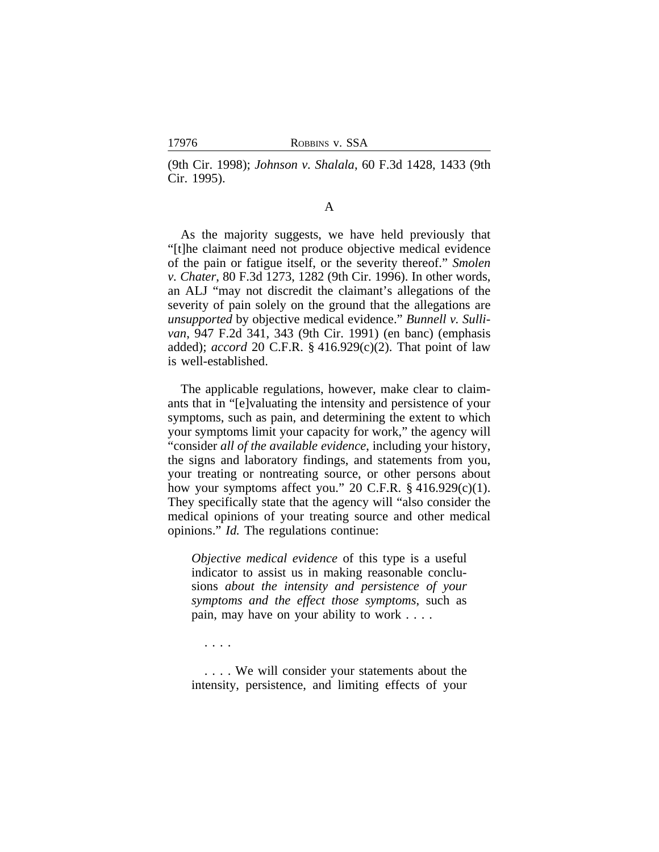(9th Cir. 1998); *Johnson v. Shalala*, 60 F.3d 1428, 1433 (9th Cir. 1995).

# A

As the majority suggests, we have held previously that "[t]he claimant need not produce objective medical evidence of the pain or fatigue itself, or the severity thereof." *Smolen v. Chater*, 80 F.3d 1273, 1282 (9th Cir. 1996). In other words, an ALJ "may not discredit the claimant's allegations of the severity of pain solely on the ground that the allegations are *unsupported* by objective medical evidence." *Bunnell v. Sullivan*, 947 F.2d 341, 343 (9th Cir. 1991) (en banc) (emphasis added); *accord* 20 C.F.R. § 416.929(c)(2). That point of law is well-established.

The applicable regulations, however, make clear to claimants that in "[e]valuating the intensity and persistence of your symptoms, such as pain, and determining the extent to which your symptoms limit your capacity for work," the agency will "consider *all of the available evidence*, including your history, the signs and laboratory findings, and statements from you, your treating or nontreating source, or other persons about how your symptoms affect you." 20 C.F.R. § 416.929(c)(1). They specifically state that the agency will "also consider the medical opinions of your treating source and other medical opinions." *Id.* The regulations continue:

*Objective medical evidence* of this type is a useful indicator to assist us in making reasonable conclusions *about the intensity and persistence of your symptoms and the effect those symptoms*, such as pain, may have on your ability to work . . . .

. . . .

. . . . We will consider your statements about the intensity, persistence, and limiting effects of your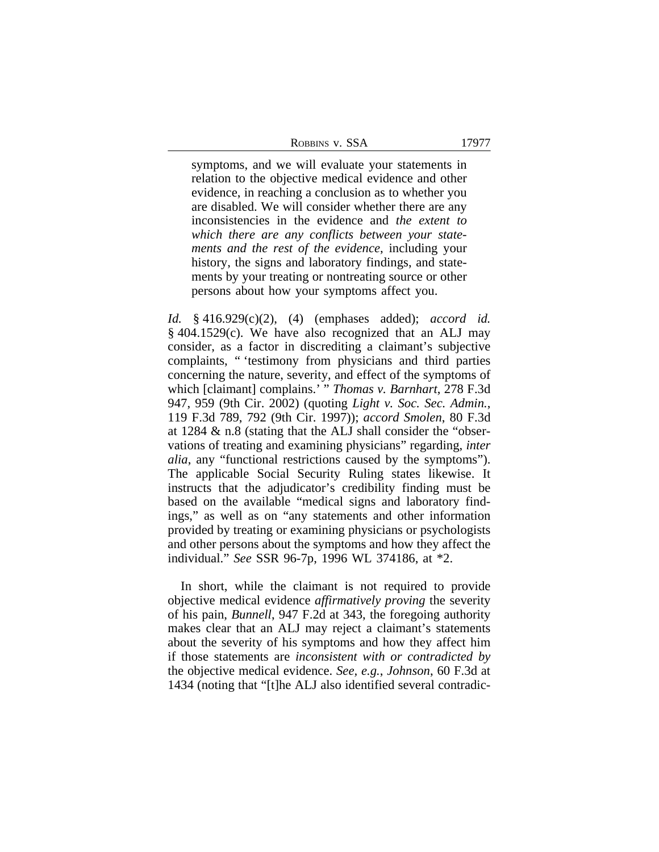| ROBBINS V. SSA |  |
|----------------|--|
|                |  |

symptoms, and we will evaluate your statements in relation to the objective medical evidence and other evidence, in reaching a conclusion as to whether you are disabled. We will consider whether there are any inconsistencies in the evidence and *the extent to which there are any conflicts between your statements and the rest of the evidence*, including your history, the signs and laboratory findings, and statements by your treating or nontreating source or other persons about how your symptoms affect you.

*Id.* § 416.929(c)(2), (4) (emphases added); *accord id.* § 404.1529(c). We have also recognized that an ALJ may consider, as a factor in discrediting a claimant's subjective complaints, " 'testimony from physicians and third parties concerning the nature, severity, and effect of the symptoms of which [claimant] complains.' " *Thomas v. Barnhart*, 278 F.3d 947, 959 (9th Cir. 2002) (quoting *Light v. Soc. Sec. Admin.*, 119 F.3d 789, 792 (9th Cir. 1997)); *accord Smolen*, 80 F.3d at 1284 & n.8 (stating that the ALJ shall consider the "observations of treating and examining physicians" regarding, *inter alia*, any "functional restrictions caused by the symptoms"). The applicable Social Security Ruling states likewise. It instructs that the adjudicator's credibility finding must be based on the available "medical signs and laboratory findings," as well as on "any statements and other information provided by treating or examining physicians or psychologists and other persons about the symptoms and how they affect the individual." *See* SSR 96-7p, 1996 WL 374186, at \*2.

In short, while the claimant is not required to provide objective medical evidence *affirmatively proving* the severity of his pain, *Bunnell*, 947 F.2d at 343, the foregoing authority makes clear that an ALJ may reject a claimant's statements about the severity of his symptoms and how they affect him if those statements are *inconsistent with or contradicted by* the objective medical evidence. *See, e.g.*, *Johnson*, 60 F.3d at 1434 (noting that "[t]he ALJ also identified several contradic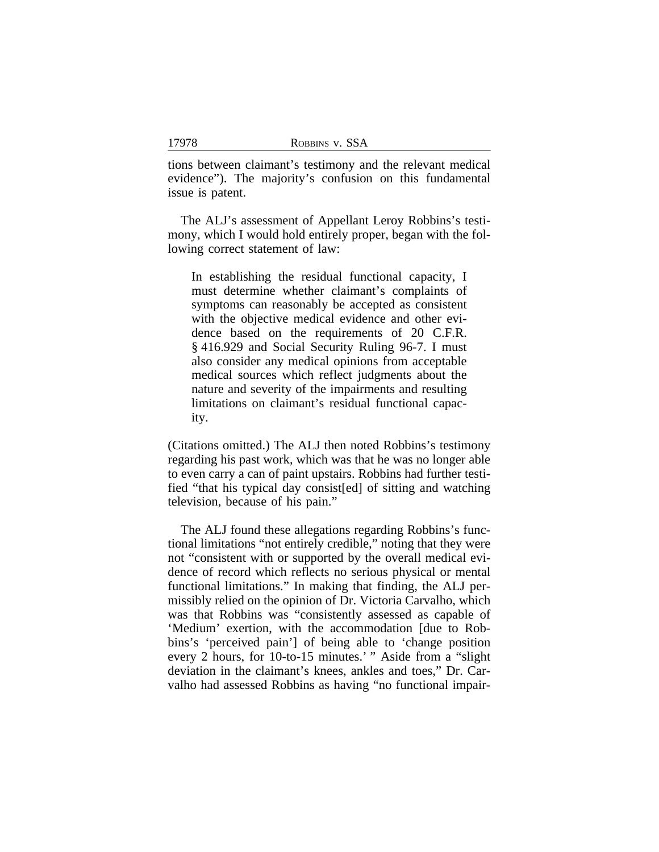tions between claimant's testimony and the relevant medical evidence"). The majority's confusion on this fundamental issue is patent.

The ALJ's assessment of Appellant Leroy Robbins's testimony, which I would hold entirely proper, began with the following correct statement of law:

In establishing the residual functional capacity, I must determine whether claimant's complaints of symptoms can reasonably be accepted as consistent with the objective medical evidence and other evidence based on the requirements of 20 C.F.R. § 416.929 and Social Security Ruling 96-7. I must also consider any medical opinions from acceptable medical sources which reflect judgments about the nature and severity of the impairments and resulting limitations on claimant's residual functional capacity.

(Citations omitted.) The ALJ then noted Robbins's testimony regarding his past work, which was that he was no longer able to even carry a can of paint upstairs. Robbins had further testified "that his typical day consist[ed] of sitting and watching television, because of his pain."

The ALJ found these allegations regarding Robbins's functional limitations "not entirely credible," noting that they were not "consistent with or supported by the overall medical evidence of record which reflects no serious physical or mental functional limitations." In making that finding, the ALJ permissibly relied on the opinion of Dr. Victoria Carvalho, which was that Robbins was "consistently assessed as capable of 'Medium' exertion, with the accommodation [due to Robbins's 'perceived pain'] of being able to 'change position every 2 hours, for 10-to-15 minutes.' " Aside from a "slight deviation in the claimant's knees, ankles and toes," Dr. Carvalho had assessed Robbins as having "no functional impair-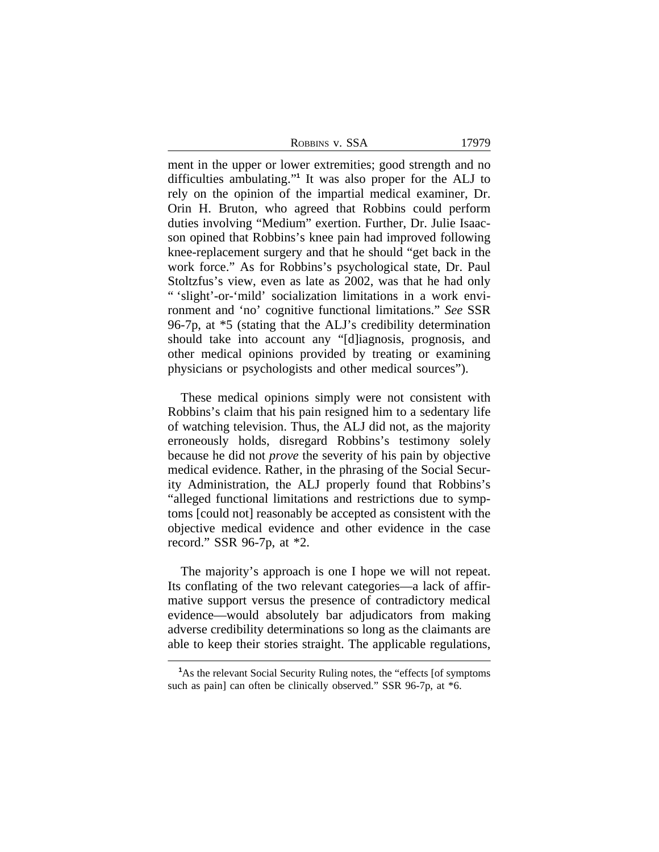| ROBBINS V. SSA |  | 17979 |
|----------------|--|-------|
|                |  |       |

ment in the upper or lower extremities; good strength and no difficulties ambulating." **1** It was also proper for the ALJ to rely on the opinion of the impartial medical examiner, Dr. Orin H. Bruton, who agreed that Robbins could perform duties involving "Medium" exertion. Further, Dr. Julie Isaacson opined that Robbins's knee pain had improved following knee-replacement surgery and that he should "get back in the work force." As for Robbins's psychological state, Dr. Paul Stoltzfus's view, even as late as 2002, was that he had only " 'slight'-or-'mild' socialization limitations in a work environment and 'no' cognitive functional limitations." *See* SSR 96-7p, at \*5 (stating that the ALJ's credibility determination should take into account any "[d]iagnosis, prognosis, and other medical opinions provided by treating or examining physicians or psychologists and other medical sources").

These medical opinions simply were not consistent with Robbins's claim that his pain resigned him to a sedentary life of watching television. Thus, the ALJ did not, as the majority erroneously holds, disregard Robbins's testimony solely because he did not *prove* the severity of his pain by objective medical evidence. Rather, in the phrasing of the Social Security Administration, the ALJ properly found that Robbins's "alleged functional limitations and restrictions due to symptoms [could not] reasonably be accepted as consistent with the objective medical evidence and other evidence in the case record." SSR 96-7p, at \*2.

The majority's approach is one I hope we will not repeat. Its conflating of the two relevant categories—a lack of affirmative support versus the presence of contradictory medical evidence—would absolutely bar adjudicators from making adverse credibility determinations so long as the claimants are able to keep their stories straight. The applicable regulations,

**<sup>1</sup>**As the relevant Social Security Ruling notes, the "effects [of symptoms such as pain] can often be clinically observed." SSR 96-7p, at \*6.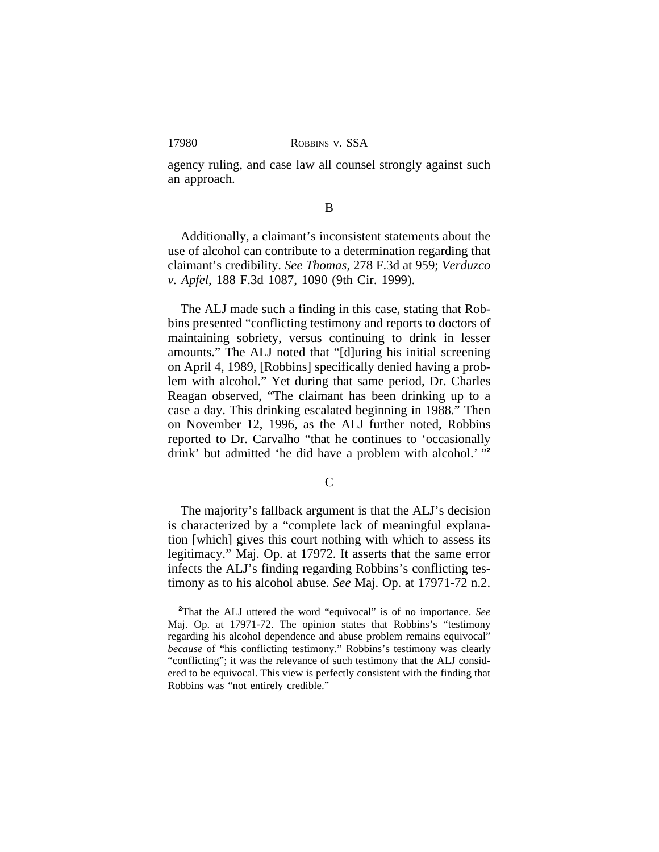agency ruling, and case law all counsel strongly against such an approach.

#### B

Additionally, a claimant's inconsistent statements about the use of alcohol can contribute to a determination regarding that claimant's credibility. *See Thomas*, 278 F.3d at 959; *Verduzco v. Apfel*, 188 F.3d 1087, 1090 (9th Cir. 1999).

The ALJ made such a finding in this case, stating that Robbins presented "conflicting testimony and reports to doctors of maintaining sobriety, versus continuing to drink in lesser amounts." The ALJ noted that "[d]uring his initial screening on April 4, 1989, [Robbins] specifically denied having a problem with alcohol." Yet during that same period, Dr. Charles Reagan observed, "The claimant has been drinking up to a case a day. This drinking escalated beginning in 1988." Then on November 12, 1996, as the ALJ further noted, Robbins reported to Dr. Carvalho "that he continues to 'occasionally drink' but admitted 'he did have a problem with alcohol.' "<sup>2</sup>

 $\overline{C}$ 

The majority's fallback argument is that the ALJ's decision is characterized by a "complete lack of meaningful explanation [which] gives this court nothing with which to assess its legitimacy." Maj. Op. at 17972. It asserts that the same error infects the ALJ's finding regarding Robbins's conflicting testimony as to his alcohol abuse. *See* Maj. Op. at 17971-72 n.2.

**<sup>2</sup>**That the ALJ uttered the word "equivocal" is of no importance. *See* Maj. Op. at 17971-72. The opinion states that Robbins's "testimony regarding his alcohol dependence and abuse problem remains equivocal" *because* of "his conflicting testimony." Robbins's testimony was clearly "conflicting"; it was the relevance of such testimony that the ALJ considered to be equivocal. This view is perfectly consistent with the finding that Robbins was "not entirely credible."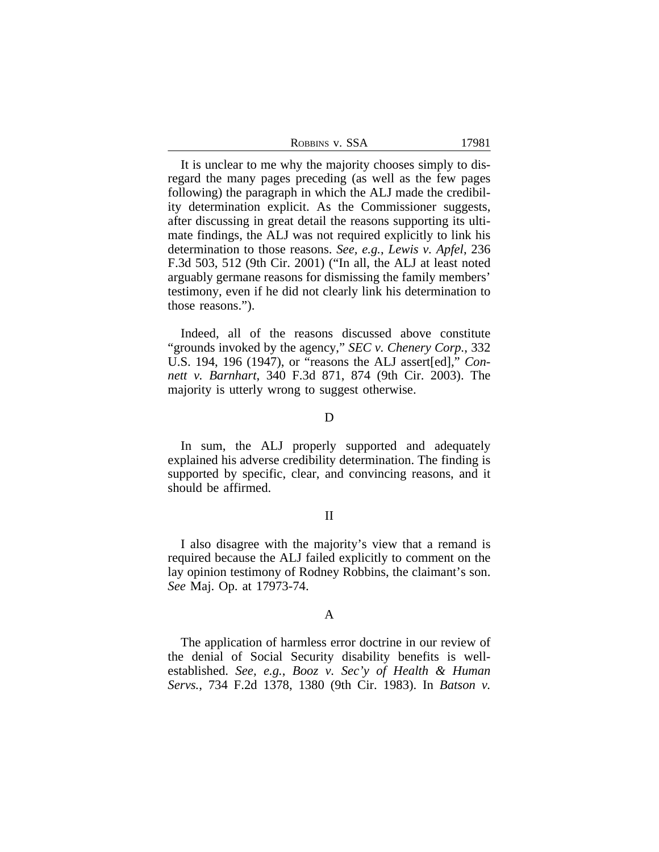| ROBBINS V. SSA | 17981 |
|----------------|-------|
|----------------|-------|

It is unclear to me why the majority chooses simply to disregard the many pages preceding (as well as the few pages following) the paragraph in which the ALJ made the credibility determination explicit. As the Commissioner suggests, after discussing in great detail the reasons supporting its ultimate findings, the ALJ was not required explicitly to link his determination to those reasons. *See, e.g.*, *Lewis v. Apfel*, 236 F.3d 503, 512 (9th Cir. 2001) ("In all, the ALJ at least noted arguably germane reasons for dismissing the family members' testimony, even if he did not clearly link his determination to those reasons.").

Indeed, all of the reasons discussed above constitute "grounds invoked by the agency," *SEC v. Chenery Corp.*, 332 U.S. 194, 196 (1947), or "reasons the ALJ assert[ed]," *Connett v. Barnhart*, 340 F.3d 871, 874 (9th Cir. 2003). The majority is utterly wrong to suggest otherwise.

#### D

In sum, the ALJ properly supported and adequately explained his adverse credibility determination. The finding is supported by specific, clear, and convincing reasons, and it should be affirmed.

# II

I also disagree with the majority's view that a remand is required because the ALJ failed explicitly to comment on the lay opinion testimony of Rodney Robbins, the claimant's son. *See* Maj. Op. at 17973-74.

# A

The application of harmless error doctrine in our review of the denial of Social Security disability benefits is wellestablished. *See, e.g.*, *Booz v. Sec'y of Health & Human Servs.*, 734 F.2d 1378, 1380 (9th Cir. 1983). In *Batson v.*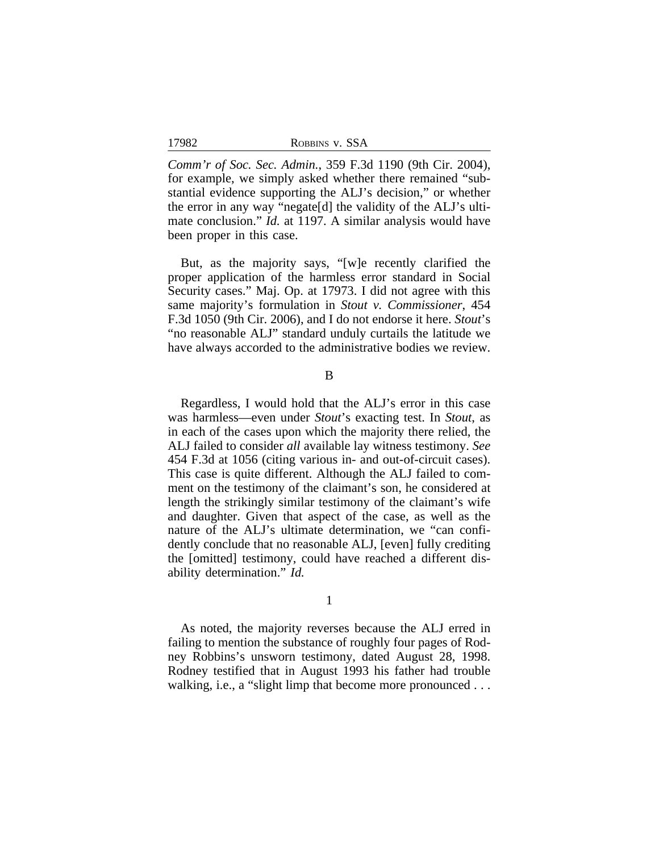| ROBBINS V. SSA |  |  |
|----------------|--|--|
|----------------|--|--|

*Comm'r of Soc. Sec. Admin.*, 359 F.3d 1190 (9th Cir. 2004), for example, we simply asked whether there remained "substantial evidence supporting the ALJ's decision," or whether the error in any way "negate[d] the validity of the ALJ's ultimate conclusion." *Id.* at 1197. A similar analysis would have been proper in this case.

But, as the majority says, "[w]e recently clarified the proper application of the harmless error standard in Social Security cases." Maj. Op. at 17973. I did not agree with this same majority's formulation in *Stout v. Commissioner*, 454 F.3d 1050 (9th Cir. 2006), and I do not endorse it here. *Stout*'s "no reasonable ALJ" standard unduly curtails the latitude we have always accorded to the administrative bodies we review.

#### B

Regardless, I would hold that the ALJ's error in this case was harmless—even under *Stout*'s exacting test. In *Stout*, as in each of the cases upon which the majority there relied, the ALJ failed to consider *all* available lay witness testimony. *See* 454 F.3d at 1056 (citing various in- and out-of-circuit cases). This case is quite different. Although the ALJ failed to comment on the testimony of the claimant's son, he considered at length the strikingly similar testimony of the claimant's wife and daughter. Given that aspect of the case, as well as the nature of the ALJ's ultimate determination, we "can confidently conclude that no reasonable ALJ, [even] fully crediting the [omitted] testimony, could have reached a different disability determination." *Id.*

#### 1

As noted, the majority reverses because the ALJ erred in failing to mention the substance of roughly four pages of Rodney Robbins's unsworn testimony, dated August 28, 1998. Rodney testified that in August 1993 his father had trouble walking, i.e., a "slight limp that become more pronounced ...

#### 17982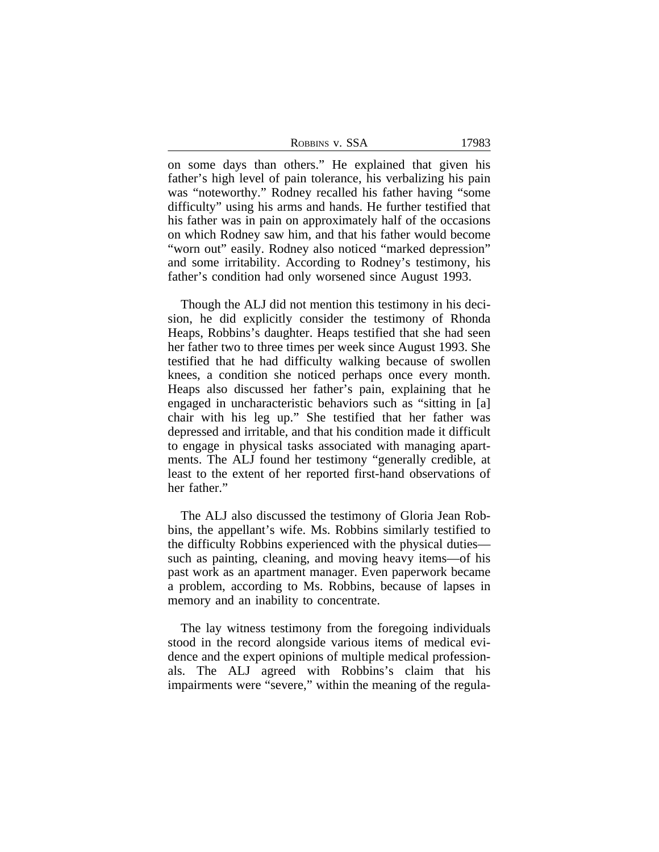| ROBBINS V. SSA | 17983 |
|----------------|-------|
|----------------|-------|

on some days than others." He explained that given his father's high level of pain tolerance, his verbalizing his pain was "noteworthy." Rodney recalled his father having "some difficulty" using his arms and hands. He further testified that his father was in pain on approximately half of the occasions on which Rodney saw him, and that his father would become "worn out" easily. Rodney also noticed "marked depression" and some irritability. According to Rodney's testimony, his father's condition had only worsened since August 1993.

Though the ALJ did not mention this testimony in his decision, he did explicitly consider the testimony of Rhonda Heaps, Robbins's daughter. Heaps testified that she had seen her father two to three times per week since August 1993. She testified that he had difficulty walking because of swollen knees, a condition she noticed perhaps once every month. Heaps also discussed her father's pain, explaining that he engaged in uncharacteristic behaviors such as "sitting in [a] chair with his leg up." She testified that her father was depressed and irritable, and that his condition made it difficult to engage in physical tasks associated with managing apartments. The ALJ found her testimony "generally credible, at least to the extent of her reported first-hand observations of her father."

The ALJ also discussed the testimony of Gloria Jean Robbins, the appellant's wife. Ms. Robbins similarly testified to the difficulty Robbins experienced with the physical duties such as painting, cleaning, and moving heavy items—of his past work as an apartment manager. Even paperwork became a problem, according to Ms. Robbins, because of lapses in memory and an inability to concentrate.

The lay witness testimony from the foregoing individuals stood in the record alongside various items of medical evidence and the expert opinions of multiple medical professionals. The ALJ agreed with Robbins's claim that his impairments were "severe," within the meaning of the regula-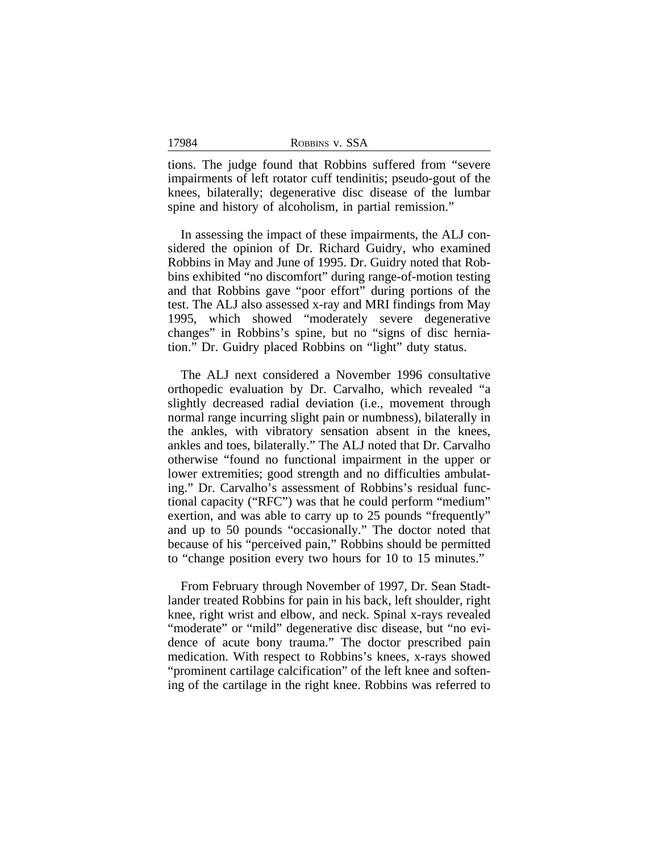tions. The judge found that Robbins suffered from "severe impairments of left rotator cuff tendinitis; pseudo-gout of the knees, bilaterally; degenerative disc disease of the lumbar spine and history of alcoholism, in partial remission."

In assessing the impact of these impairments, the ALJ considered the opinion of Dr. Richard Guidry, who examined Robbins in May and June of 1995. Dr. Guidry noted that Robbins exhibited "no discomfort" during range-of-motion testing and that Robbins gave "poor effort" during portions of the test. The ALJ also assessed x-ray and MRI findings from May 1995, which showed "moderately severe degenerative changes" in Robbins's spine, but no "signs of disc herniation." Dr. Guidry placed Robbins on "light" duty status.

The ALJ next considered a November 1996 consultative orthopedic evaluation by Dr. Carvalho, which revealed "a slightly decreased radial deviation (i.e., movement through normal range incurring slight pain or numbness), bilaterally in the ankles, with vibratory sensation absent in the knees, ankles and toes, bilaterally." The ALJ noted that Dr. Carvalho otherwise "found no functional impairment in the upper or lower extremities; good strength and no difficulties ambulating." Dr. Carvalho's assessment of Robbins's residual functional capacity ("RFC") was that he could perform "medium" exertion, and was able to carry up to 25 pounds "frequently" and up to 50 pounds "occasionally." The doctor noted that because of his "perceived pain," Robbins should be permitted to "change position every two hours for 10 to 15 minutes."

From February through November of 1997, Dr. Sean Stadtlander treated Robbins for pain in his back, left shoulder, right knee, right wrist and elbow, and neck. Spinal x-rays revealed "moderate" or "mild" degenerative disc disease, but "no evidence of acute bony trauma." The doctor prescribed pain medication. With respect to Robbins's knees, x-rays showed "prominent cartilage calcification" of the left knee and softening of the cartilage in the right knee. Robbins was referred to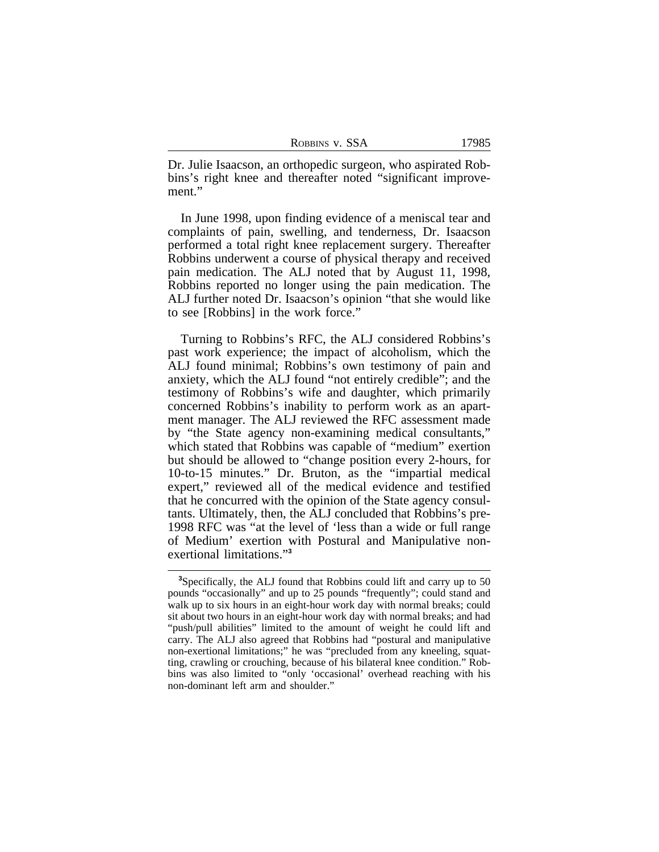| Robbins v. SSA |  |  |  |
|----------------|--|--|--|
|----------------|--|--|--|

Dr. Julie Isaacson, an orthopedic surgeon, who aspirated Robbins's right knee and thereafter noted "significant improvement."

In June 1998, upon finding evidence of a meniscal tear and complaints of pain, swelling, and tenderness, Dr. Isaacson performed a total right knee replacement surgery. Thereafter Robbins underwent a course of physical therapy and received pain medication. The ALJ noted that by August 11, 1998, Robbins reported no longer using the pain medication. The ALJ further noted Dr. Isaacson's opinion "that she would like to see [Robbins] in the work force."

Turning to Robbins's RFC, the ALJ considered Robbins's past work experience; the impact of alcoholism, which the ALJ found minimal; Robbins's own testimony of pain and anxiety, which the ALJ found "not entirely credible"; and the testimony of Robbins's wife and daughter, which primarily concerned Robbins's inability to perform work as an apartment manager. The ALJ reviewed the RFC assessment made by "the State agency non-examining medical consultants," which stated that Robbins was capable of "medium" exertion but should be allowed to "change position every 2-hours, for 10-to-15 minutes." Dr. Bruton, as the "impartial medical expert," reviewed all of the medical evidence and testified that he concurred with the opinion of the State agency consultants. Ultimately, then, the ALJ concluded that Robbins's pre-1998 RFC was "at the level of 'less than a wide or full range of Medium' exertion with Postural and Manipulative nonexertional limitations." **3**

**<sup>3</sup>**Specifically, the ALJ found that Robbins could lift and carry up to 50 pounds "occasionally" and up to 25 pounds "frequently"; could stand and walk up to six hours in an eight-hour work day with normal breaks; could sit about two hours in an eight-hour work day with normal breaks; and had "push/pull abilities" limited to the amount of weight he could lift and carry. The ALJ also agreed that Robbins had "postural and manipulative non-exertional limitations;" he was "precluded from any kneeling, squatting, crawling or crouching, because of his bilateral knee condition." Robbins was also limited to "only 'occasional' overhead reaching with his non-dominant left arm and shoulder."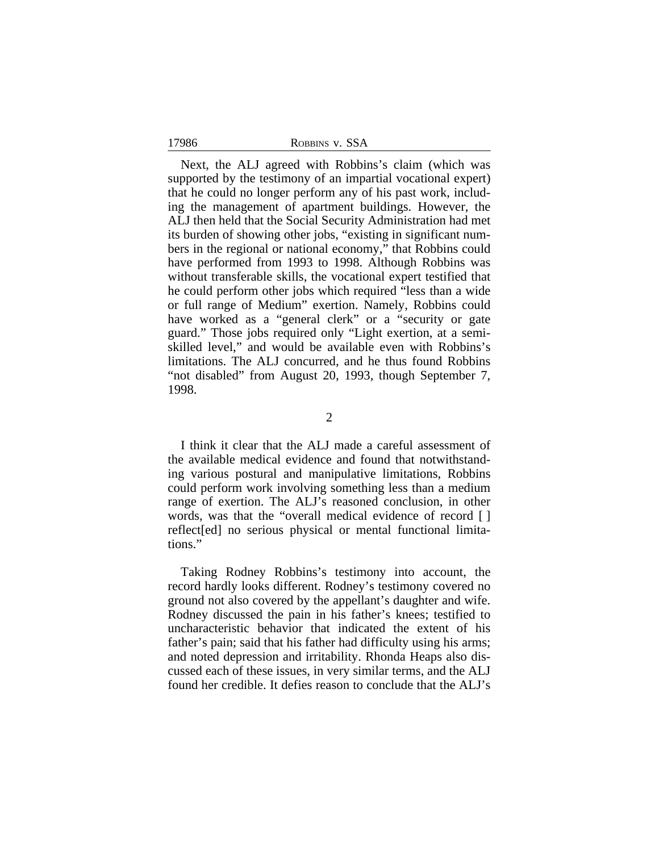17986 ROBBINS v. SSA

Next, the ALJ agreed with Robbins's claim (which was supported by the testimony of an impartial vocational expert) that he could no longer perform any of his past work, including the management of apartment buildings. However, the ALJ then held that the Social Security Administration had met its burden of showing other jobs, "existing in significant numbers in the regional or national economy," that Robbins could have performed from 1993 to 1998. Although Robbins was without transferable skills, the vocational expert testified that he could perform other jobs which required "less than a wide or full range of Medium" exertion. Namely, Robbins could have worked as a "general clerk" or a "security or gate guard." Those jobs required only "Light exertion, at a semiskilled level," and would be available even with Robbins's limitations. The ALJ concurred, and he thus found Robbins "not disabled" from August 20, 1993, though September 7, 1998.

2

I think it clear that the ALJ made a careful assessment of the available medical evidence and found that notwithstanding various postural and manipulative limitations, Robbins could perform work involving something less than a medium range of exertion. The ALJ's reasoned conclusion, in other words, was that the "overall medical evidence of record [ ] reflect[ed] no serious physical or mental functional limitations."

Taking Rodney Robbins's testimony into account, the record hardly looks different. Rodney's testimony covered no ground not also covered by the appellant's daughter and wife. Rodney discussed the pain in his father's knees; testified to uncharacteristic behavior that indicated the extent of his father's pain; said that his father had difficulty using his arms; and noted depression and irritability. Rhonda Heaps also discussed each of these issues, in very similar terms, and the ALJ found her credible. It defies reason to conclude that the ALJ's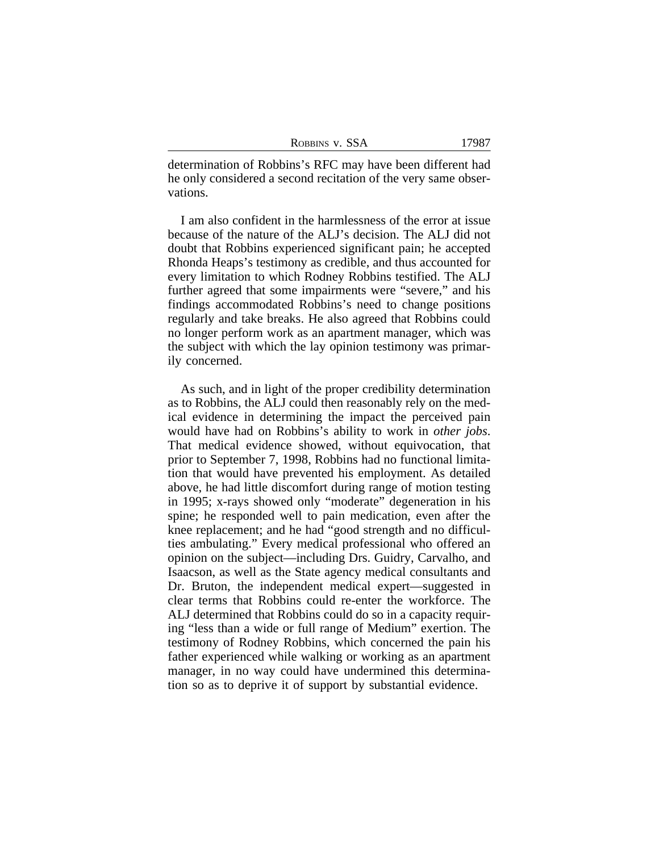| ROBBINS V. SSA | 17987 |
|----------------|-------|
|----------------|-------|

determination of Robbins's RFC may have been different had he only considered a second recitation of the very same observations.

I am also confident in the harmlessness of the error at issue because of the nature of the ALJ's decision. The ALJ did not doubt that Robbins experienced significant pain; he accepted Rhonda Heaps's testimony as credible, and thus accounted for every limitation to which Rodney Robbins testified. The ALJ further agreed that some impairments were "severe," and his findings accommodated Robbins's need to change positions regularly and take breaks. He also agreed that Robbins could no longer perform work as an apartment manager, which was the subject with which the lay opinion testimony was primarily concerned.

As such, and in light of the proper credibility determination as to Robbins, the ALJ could then reasonably rely on the medical evidence in determining the impact the perceived pain would have had on Robbins's ability to work in *other jobs*. That medical evidence showed, without equivocation, that prior to September 7, 1998, Robbins had no functional limitation that would have prevented his employment. As detailed above, he had little discomfort during range of motion testing in 1995; x-rays showed only "moderate" degeneration in his spine; he responded well to pain medication, even after the knee replacement; and he had "good strength and no difficulties ambulating." Every medical professional who offered an opinion on the subject—including Drs. Guidry, Carvalho, and Isaacson, as well as the State agency medical consultants and Dr. Bruton, the independent medical expert—suggested in clear terms that Robbins could re-enter the workforce. The ALJ determined that Robbins could do so in a capacity requiring "less than a wide or full range of Medium" exertion. The testimony of Rodney Robbins, which concerned the pain his father experienced while walking or working as an apartment manager, in no way could have undermined this determination so as to deprive it of support by substantial evidence.